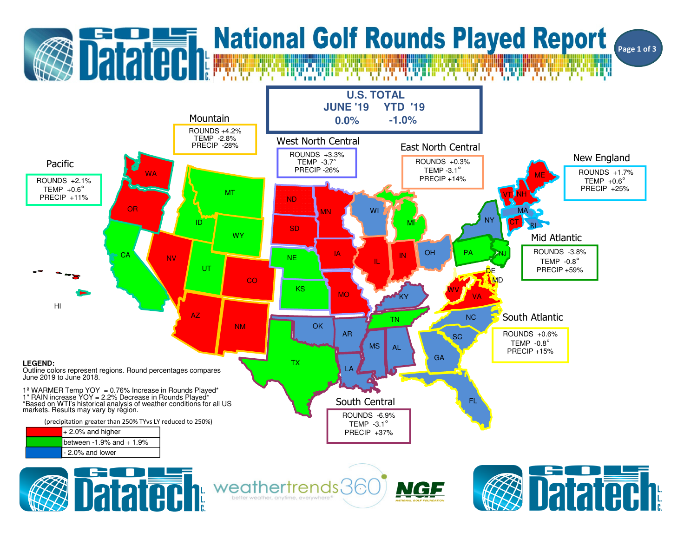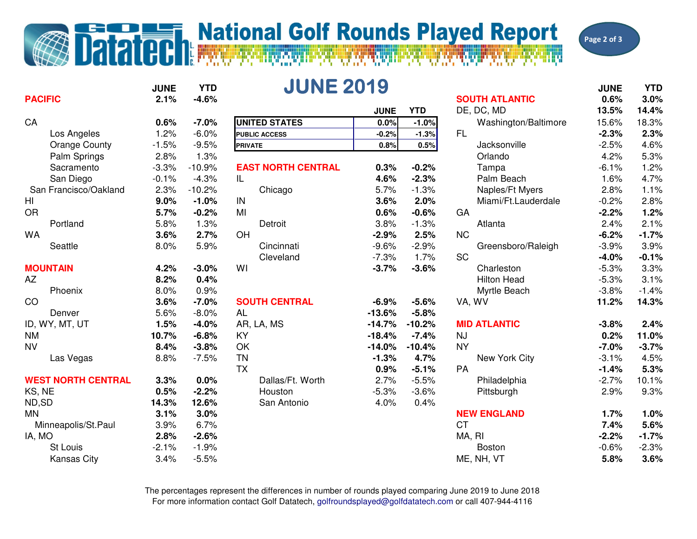## **Datated Research Additional Golf Rounds Played Report**

Page 2 of 3

|                           | <b>JUNE</b> | <b>YTD</b> | <b>JUNE 2019</b>          |             |            |                       | <b>JUNE</b> | <b>YTD</b> |
|---------------------------|-------------|------------|---------------------------|-------------|------------|-----------------------|-------------|------------|
| <b>PACIFIC</b>            | 2.1%        | $-4.6%$    |                           |             |            | <b>SOUTH ATLANTIC</b> | 0.6%        | 3.0%       |
|                           |             |            |                           | <b>JUNE</b> | <b>YTD</b> | DE, DC, MD            | 13.5%       | 14.4%      |
| CA                        | 0.6%        | $-7.0%$    | <b>UNITED STATES</b>      | 0.0%        | $-1.0%$    | Washington/Baltimore  | 15.6%       | 18.3%      |
| Los Angeles               | 1.2%        | $-6.0%$    | <b>PUBLIC ACCESS</b>      | $-0.2%$     | $-1.3%$    | <b>FL</b>             | $-2.3%$     | 2.3%       |
| <b>Orange County</b>      | $-1.5%$     | $-9.5%$    | <b>PRIVATE</b>            | 0.8%        | 0.5%       | Jacksonville          | $-2.5%$     | 4.6%       |
| Palm Springs              | 2.8%        | 1.3%       |                           |             |            | Orlando               | 4.2%        | 5.3%       |
| Sacramento                | $-3.3%$     | $-10.9%$   | <b>EAST NORTH CENTRAL</b> | 0.3%        | $-0.2%$    | Tampa                 | $-6.1%$     | 1.2%       |
| San Diego                 | $-0.1%$     | $-4.3%$    | IL.                       | 4.6%        | $-2.3%$    | Palm Beach            | 1.6%        | 4.7%       |
| San Francisco/Oakland     | 2.3%        | $-10.2%$   | Chicago                   | 5.7%        | $-1.3%$    | Naples/Ft Myers       | 2.8%        | 1.1%       |
| H <sub>l</sub>            | 9.0%        | $-1.0%$    | IN                        | 3.6%        | 2.0%       | Miami/Ft.Lauderdale   | $-0.2%$     | 2.8%       |
| <b>OR</b>                 | 5.7%        | $-0.2%$    | MI                        | 0.6%        | $-0.6%$    | GA                    | $-2.2%$     | 1.2%       |
| Portland                  | 5.8%        | 1.3%       | Detroit                   | 3.8%        | $-1.3%$    | Atlanta               | 2.4%        | 2.1%       |
| <b>WA</b>                 | 3.6%        | 2.7%       | OH                        | $-2.9%$     | 2.5%       | <b>NC</b>             | $-6.2%$     | $-1.7%$    |
| Seattle                   | 8.0%        | 5.9%       | Cincinnati                | $-9.6%$     | $-2.9%$    | Greensboro/Raleigh    | $-3.9%$     | 3.9%       |
|                           |             |            | Cleveland                 | $-7.3%$     | 1.7%       | <b>SC</b>             | $-4.0%$     | $-0.1%$    |
| <b>MOUNTAIN</b>           | 4.2%        | $-3.0%$    | WI                        | $-3.7%$     | $-3.6%$    | Charleston            | $-5.3%$     | 3.3%       |
| AZ                        | 8.2%        | 0.4%       |                           |             |            | <b>Hilton Head</b>    | $-5.3%$     | 3.1%       |
| Phoenix                   | 8.0%        | 0.9%       |                           |             |            | Myrtle Beach          | $-3.8%$     | $-1.4%$    |
| <sub>CO</sub>             | 3.6%        | $-7.0%$    | <b>SOUTH CENTRAL</b>      | $-6.9%$     | $-5.6%$    | VA, WV                | 11.2%       | 14.3%      |
| Denver                    | 5.6%        | $-8.0%$    | <b>AL</b>                 | $-13.6%$    | $-5.8%$    |                       |             |            |
| ID, WY, MT, UT            | 1.5%        | $-4.0%$    | AR, LA, MS                | $-14.7%$    | $-10.2%$   | <b>MID ATLANTIC</b>   | $-3.8%$     | 2.4%       |
| <b>NM</b>                 | 10.7%       | $-6.8%$    | <b>KY</b>                 | $-18.4%$    | $-7.4%$    | <b>NJ</b>             | 0.2%        | 11.0%      |
| <b>NV</b>                 | 8.4%        | $-3.8%$    | OK                        | $-14.0%$    | $-10.4%$   | <b>NY</b>             | $-7.0%$     | $-3.7%$    |
| Las Vegas                 | 8.8%        | $-7.5%$    | <b>TN</b>                 | $-1.3%$     | 4.7%       | New York City         | $-3.1%$     | 4.5%       |
|                           |             |            | <b>TX</b>                 | 0.9%        | $-5.1%$    | PA                    | $-1.4%$     | 5.3%       |
| <b>WEST NORTH CENTRAL</b> | 3.3%        | 0.0%       | Dallas/Ft. Worth          | 2.7%        | $-5.5%$    | Philadelphia          | $-2.7%$     | 10.1%      |
| KS, NE                    | 0.5%        | $-2.2%$    | Houston                   | $-5.3%$     | $-3.6%$    | Pittsburgh            | 2.9%        | 9.3%       |
| ND,SD                     | 14.3%       | 12.6%      | San Antonio               | 4.0%        | 0.4%       |                       |             |            |
| <b>MN</b>                 | 3.1%        | 3.0%       |                           |             |            | <b>NEW ENGLAND</b>    | 1.7%        | 1.0%       |
| Minneapolis/St.Paul       | 3.9%        | 6.7%       |                           |             |            | <b>CT</b>             | 7.4%        | 5.6%       |
| IA, MO                    | 2.8%        | $-2.6%$    |                           |             |            | MA, RI                | $-2.2%$     | $-1.7%$    |
| St Louis                  | $-2.1%$     | $-1.9%$    |                           |             |            | <b>Boston</b>         | $-0.6%$     | $-2.3%$    |
| <b>Kansas City</b>        | 3.4%        | $-5.5%$    |                           |             |            | ME, NH, VT            | 5.8%        | 3.6%       |

For more information contact Golf Datatech, golfroundsplayed@golfdatatech.com or call 407-944-4116The percentages represent the differences in number of rounds played comparing June 2019 to June 2018